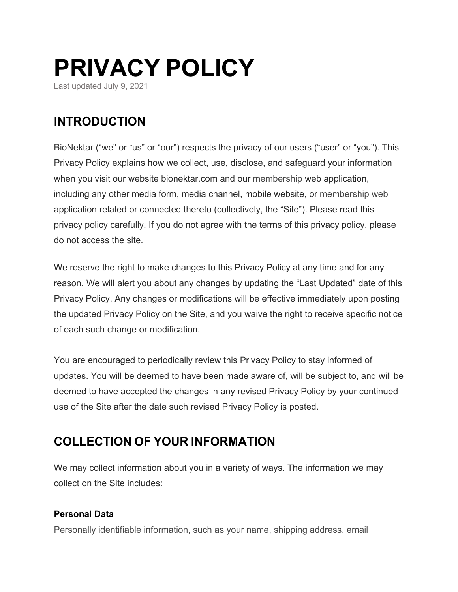# **PRIVACY POLICY**

Last updated July 9, 2021

# **INTRODUCTION**

BioNektar ("we" or "us" or "our") respects the privacy of our users ("user" or "you"). This Privacy Policy explains how we collect, use, disclose, and safeguard your information when you visit our website bionektar.com and our membership web application, including any other media form, media channel, mobile website, or membership web application related or connected thereto (collectively, the "Site"). Please read this privacy policy carefully. If you do not agree with the terms of this privacy policy, please do not access the site.

We reserve the right to make changes to this Privacy Policy at any time and for any reason. We will alert you about any changes by updating the "Last Updated" date of this Privacy Policy. Any changes or modifications will be effective immediately upon posting the updated Privacy Policy on the Site, and you waive the right to receive specific notice of each such change or modification.

You are encouraged to periodically review this Privacy Policy to stay informed of updates. You will be deemed to have been made aware of, will be subject to, and will be deemed to have accepted the changes in any revised Privacy Policy by your continued use of the Site after the date such revised Privacy Policy is posted.

# **COLLECTION OF YOUR INFORMATION**

We may collect information about you in a variety of ways. The information we may collect on the Site includes:

### **Personal Data**

Personally identifiable information, such as your name, shipping address, email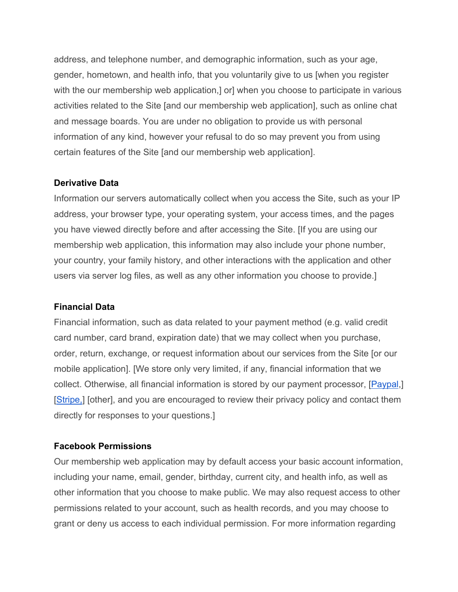address, and telephone number, and demographic information, such as your age, gender, hometown, and health info, that you voluntarily give to us [when you register with the our membership web application,] or] when you choose to participate in various activities related to the Site [and our membership web application], such as online chat and message boards. You are under no obligation to provide us with personal information of any kind, however your refusal to do so may prevent you from using certain features of the Site [and our membership web application].

#### **Derivative Data**

Information our servers automatically collect when you access the Site, such as your IP address, your browser type, your operating system, your access times, and the pages you have viewed directly before and after accessing the Site. [If you are using our membership web application, this information may also include your phone number, your country, your family history, and other interactions with the application and other users via server log files, as well as any other information you choose to provide.]

#### **Financial Data**

Financial information, such as data related to your payment method (e.g. valid credit card number, card brand, expiration date) that we may collect when you purchase, order, return, exchange, or request information about our services from the Site [or our mobile application]. [We store only very limited, if any, financial information that we collect. Otherwise, all financial information is stored by our payment processor, [Paypal,] [Stripe,] [other], and you are encouraged to review their privacy policy and contact them directly for responses to your questions.]

#### **Facebook Permissions**

Our membership web application may by default access your basic account information, including your name, email, gender, birthday, current city, and health info, as well as other information that you choose to make public. We may also request access to other permissions related to your account, such as health records, and you may choose to grant or deny us access to each individual permission. For more information regarding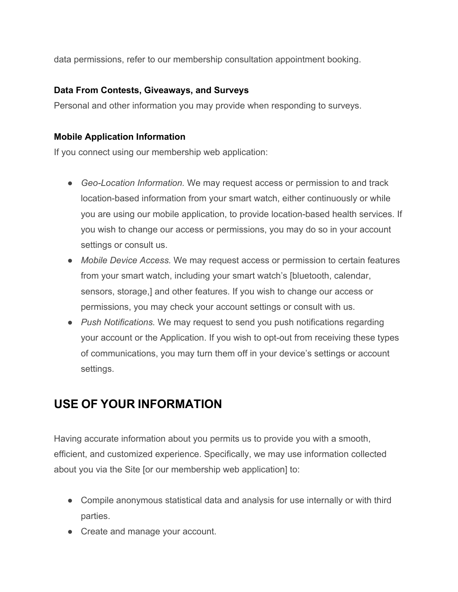data permissions, refer to our membership consultation appointment booking.

### **Data From Contests, Giveaways, and Surveys**

Personal and other information you may provide when responding to surveys.

### **Mobile Application Information**

If you connect using our membership web application:

- *Geo-Location Information.* We may request access or permission to and track location-based information from your smart watch, either continuously or while you are using our mobile application, to provide location-based health services. If you wish to change our access or permissions, you may do so in your account settings or consult us.
- *Mobile Device Access.* We may request access or permission to certain features from your smart watch, including your smart watch's [bluetooth, calendar, sensors, storage,] and other features. If you wish to change our access or permissions, you may check your account settings or consult with us.
- *Push Notifications.* We may request to send you push notifications regarding your account or the Application. If you wish to opt-out from receiving these types of communications, you may turn them off in your device's settings or account settings.

# **USE OF YOUR INFORMATION**

Having accurate information about you permits us to provide you with a smooth, efficient, and customized experience. Specifically, we may use information collected about you via the Site [or our membership web application] to:

- Compile anonymous statistical data and analysis for use internally or with third parties.
- Create and manage your account.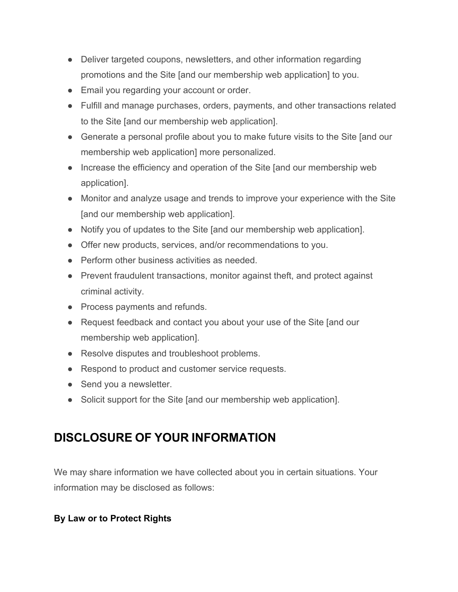- Deliver targeted coupons, newsletters, and other information regarding promotions and the Site [and our membership web application] to you.
- Email you regarding your account or order.
- Fulfill and manage purchases, orders, payments, and other transactions related to the Site [and our membership web application].
- Generate a personal profile about you to make future visits to the Site [and our membership web application] more personalized.
- Increase the efficiency and operation of the Site [and our membership web application].
- Monitor and analyze usage and trends to improve your experience with the Site [and our membership web application].
- Notify you of updates to the Site [and our membership web application].
- Offer new products, services, and/or recommendations to you.
- Perform other business activities as needed.
- Prevent fraudulent transactions, monitor against theft, and protect against criminal activity.
- Process payments and refunds.
- Request feedback and contact you about your use of the Site [and our membership web application].
- Resolve disputes and troubleshoot problems.
- Respond to product and customer service requests.
- Send you a newsletter.
- Solicit support for the Site [and our membership web application].

# **DISCLOSURE OF YOUR INFORMATION**

We may share information we have collected about you in certain situations. Your information may be disclosed as follows:

### **By Law or to Protect Rights**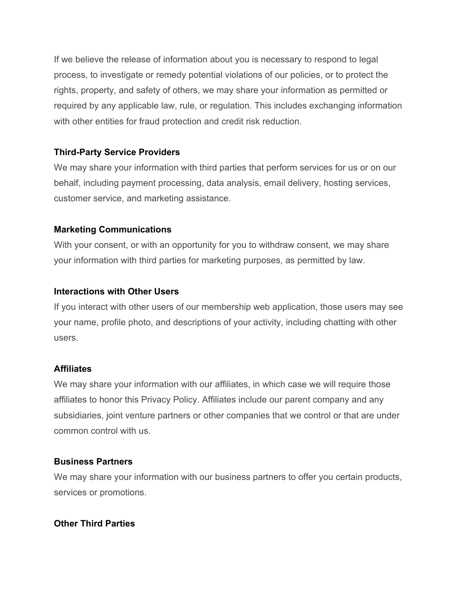If we believe the release of information about you is necessary to respond to legal process, to investigate or remedy potential violations of our policies, or to protect the rights, property, and safety of others, we may share your information as permitted or required by any applicable law, rule, or regulation. This includes exchanging information with other entities for fraud protection and credit risk reduction.

### **Third-Party Service Providers**

We may share your information with third parties that perform services for us or on our behalf, including payment processing, data analysis, email delivery, hosting services, customer service, and marketing assistance.

#### **Marketing Communications**

With your consent, or with an opportunity for you to withdraw consent, we may share your information with third parties for marketing purposes, as permitted by law.

#### **Interactions with Other Users**

If you interact with other users of our membership web application, those users may see your name, profile photo, and descriptions of your activity, including chatting with other users.

#### **Affiliates**

We may share your information with our affiliates, in which case we will require those affiliates to honor this Privacy Policy. Affiliates include our parent company and any subsidiaries, joint venture partners or other companies that we control or that are under common control with us.

#### **Business Partners**

We may share your information with our business partners to offer you certain products, services or promotions.

#### **Other Third Parties**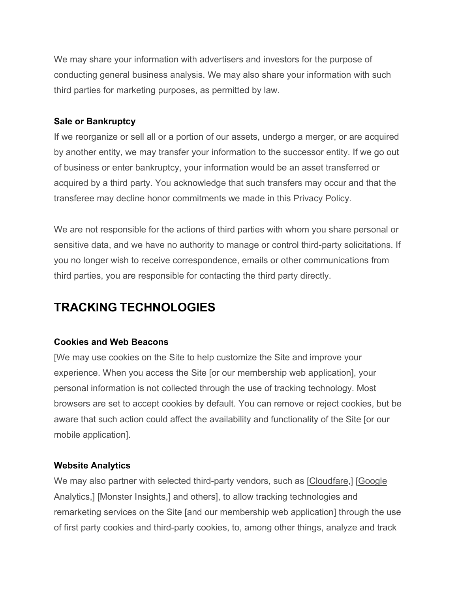We may share your information with advertisers and investors for the purpose of conducting general business analysis. We may also share your information with such third parties for marketing purposes, as permitted by law.

### **Sale or Bankruptcy**

If we reorganize or sell all or a portion of our assets, undergo a merger, or are acquired by another entity, we may transfer your information to the successor entity. If we go out of business or enter bankruptcy, your information would be an asset transferred or acquired by a third party. You acknowledge that such transfers may occur and that the transferee may decline honor commitments we made in this Privacy Policy.

We are not responsible for the actions of third parties with whom you share personal or sensitive data, and we have no authority to manage or control third-party solicitations. If you no longer wish to receive correspondence, emails or other communications from third parties, you are responsible for contacting the third party directly.

# **TRACKING TECHNOLOGIES**

### **Cookies and Web Beacons**

[We may use cookies on the Site to help customize the Site and improve your experience. When you access the Site [or our membership web application], your personal information is not collected through the use of tracking technology. Most browsers are set to accept cookies by default. You can remove or reject cookies, but be aware that such action could affect the availability and functionality of the Site [or our mobile application].

#### **Website Analytics**

We may also partner with selected third-party vendors, such as [Cloudfare,] [Google Analytics,] [Monster Insights,] and others], to allow tracking technologies and remarketing services on the Site [and our membership web application] through the use of first party cookies and third-party cookies, to, among other things, analyze and track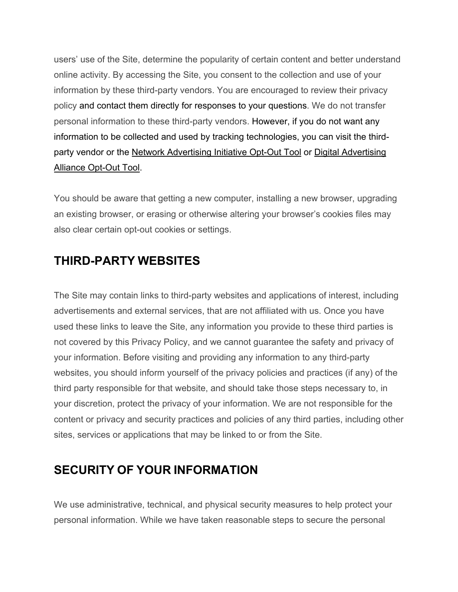users' use of the Site, determine the popularity of certain content and better understand online activity. By accessing the Site, you consent to the collection and use of your information by these third-party vendors. You are encouraged to review their privacy policy and contact them directly for responses to your questions. We do not transfer personal information to these third-party vendors. However, if you do not want any information to be collected and used by tracking technologies, you can visit the thirdparty vendor or the Network Advertising Initiative Opt-Out Tool or Digital Advertising Alliance Opt-Out Tool.

You should be aware that getting a new computer, installing a new browser, upgrading an existing browser, or erasing or otherwise altering your browser's cookies files may also clear certain opt-out cookies or settings.

# **THIRD-PARTY WEBSITES**

The Site may contain links to third-party websites and applications of interest, including advertisements and external services, that are not affiliated with us. Once you have used these links to leave the Site, any information you provide to these third parties is not covered by this Privacy Policy, and we cannot guarantee the safety and privacy of your information. Before visiting and providing any information to any third-party websites, you should inform yourself of the privacy policies and practices (if any) of the third party responsible for that website, and should take those steps necessary to, in your discretion, protect the privacy of your information. We are not responsible for the content or privacy and security practices and policies of any third parties, including other sites, services or applications that may be linked to or from the Site.

### **SECURITY OF YOUR INFORMATION**

We use administrative, technical, and physical security measures to help protect your personal information. While we have taken reasonable steps to secure the personal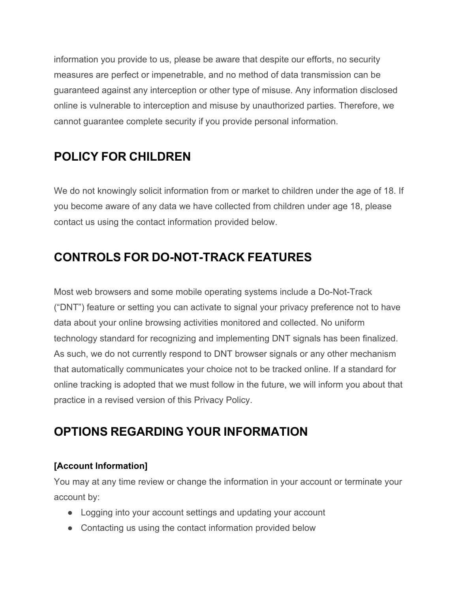information you provide to us, please be aware that despite our efforts, no security measures are perfect or impenetrable, and no method of data transmission can be guaranteed against any interception or other type of misuse. Any information disclosed online is vulnerable to interception and misuse by unauthorized parties. Therefore, we cannot guarantee complete security if you provide personal information.

# **POLICY FOR CHILDREN**

We do not knowingly solicit information from or market to children under the age of 18. If you become aware of any data we have collected from children under age 18, please contact us using the contact information provided below.

# **CONTROLS FOR DO-NOT-TRACK FEATURES**

Most web browsers and some mobile operating systems include a Do-Not-Track ("DNT") feature or setting you can activate to signal your privacy preference not to have data about your online browsing activities monitored and collected. No uniform technology standard for recognizing and implementing DNT signals has been finalized. As such, we do not currently respond to DNT browser signals or any other mechanism that automatically communicates your choice not to be tracked online. If a standard for online tracking is adopted that we must follow in the future, we will inform you about that practice in a revised version of this Privacy Policy.

# **OPTIONS REGARDING YOUR INFORMATION**

### **[Account Information]**

You may at any time review or change the information in your account or terminate your account by:

- Logging into your account settings and updating your account
- Contacting us using the contact information provided below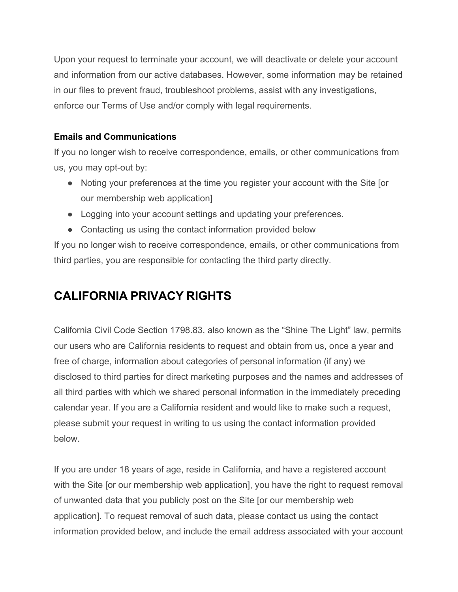Upon your request to terminate your account, we will deactivate or delete your account and information from our active databases. However, some information may be retained in our files to prevent fraud, troubleshoot problems, assist with any investigations, enforce our Terms of Use and/or comply with legal requirements.

### **Emails and Communications**

If you no longer wish to receive correspondence, emails, or other communications from us, you may opt-out by:

- Noting your preferences at the time you register your account with the Site [or our membership web application]
- Logging into your account settings and updating your preferences.
- Contacting us using the contact information provided below

If you no longer wish to receive correspondence, emails, or other communications from third parties, you are responsible for contacting the third party directly.

# **CALIFORNIA PRIVACY RIGHTS**

California Civil Code Section 1798.83, also known as the "Shine The Light" law, permits our users who are California residents to request and obtain from us, once a year and free of charge, information about categories of personal information (if any) we disclosed to third parties for direct marketing purposes and the names and addresses of all third parties with which we shared personal information in the immediately preceding calendar year. If you are a California resident and would like to make such a request, please submit your request in writing to us using the contact information provided below.

If you are under 18 years of age, reside in California, and have a registered account with the Site [or our membership web application], you have the right to request removal of unwanted data that you publicly post on the Site [or our membership web application]. To request removal of such data, please contact us using the contact information provided below, and include the email address associated with your account